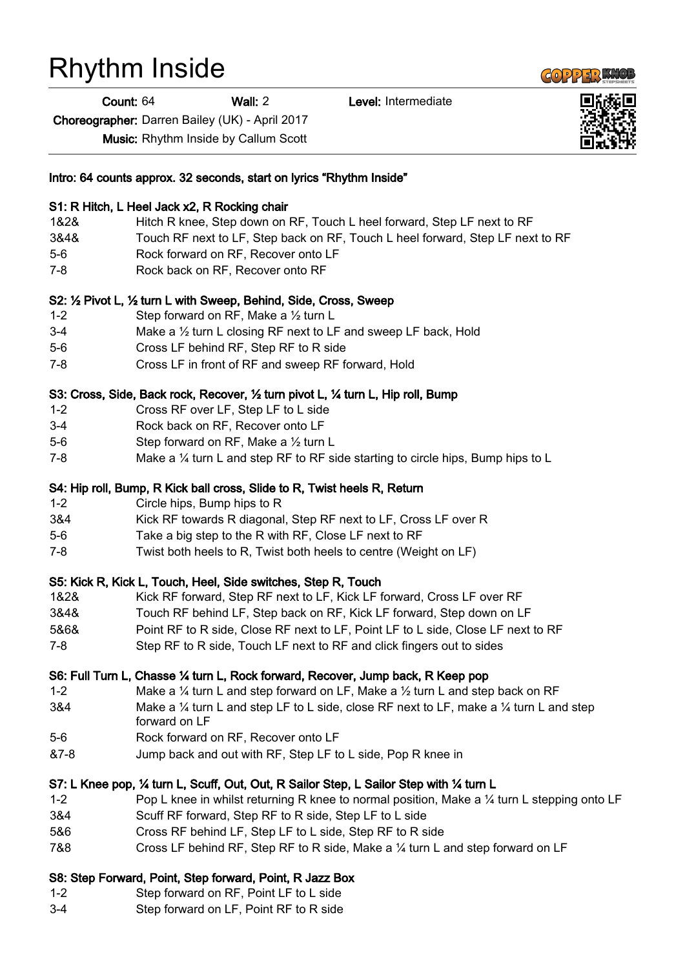## Rhythm Inside

Count: 64 Wall: 2 Level: Intermediate

Choreographer: Darren Bailey (UK) - April 2017

Music: Rhythm Inside by Callum Scott

| Intro: 64 counts approx. 32 seconds, start on lyrics "Rhythm Inside" |                                                                                                                               |
|----------------------------------------------------------------------|-------------------------------------------------------------------------------------------------------------------------------|
|                                                                      | S1: R Hitch, L Heel Jack x2, R Rocking chair                                                                                  |
| 1&2&                                                                 | Hitch R knee, Step down on RF, Touch L heel forward, Step LF next to RF                                                       |
| 3&4&                                                                 | Touch RF next to LF, Step back on RF, Touch L heel forward, Step LF next to RF                                                |
| $5-6$                                                                | Rock forward on RF, Recover onto LF                                                                                           |
| $7-8$                                                                | Rock back on RF, Recover onto RF                                                                                              |
|                                                                      | S2: 1/2 Pivot L, 1/2 turn L with Sweep, Behind, Side, Cross, Sweep                                                            |
| $1 - 2$                                                              | Step forward on RF, Make a $\frac{1}{2}$ turn L                                                                               |
| $3-4$                                                                | Make a $\frac{1}{2}$ turn L closing RF next to LF and sweep LF back, Hold                                                     |
| $5-6$                                                                | Cross LF behind RF, Step RF to R side                                                                                         |
| 7-8                                                                  | Cross LF in front of RF and sweep RF forward, Hold                                                                            |
|                                                                      | S3: Cross, Side, Back rock, Recover, 1/2 turn pivot L, 1/4 turn L, Hip roll, Bump                                             |
| $1 - 2$                                                              | Cross RF over LF, Step LF to L side                                                                                           |
| $3-4$                                                                | Rock back on RF, Recover onto LF                                                                                              |
| $5-6$                                                                | Step forward on RF, Make a 1/2 turn L                                                                                         |
| $7 - 8$                                                              | Make a 1/4 turn L and step RF to RF side starting to circle hips, Bump hips to L                                              |
|                                                                      | S4: Hip roll, Bump, R Kick ball cross, Slide to R, Twist heels R, Return                                                      |
| $1 - 2$                                                              | Circle hips, Bump hips to R                                                                                                   |
| 3&4                                                                  | Kick RF towards R diagonal, Step RF next to LF, Cross LF over R                                                               |
| $5-6$                                                                | Take a big step to the R with RF, Close LF next to RF                                                                         |
| 7-8                                                                  | Twist both heels to R, Twist both heels to centre (Weight on LF)                                                              |
|                                                                      | S5: Kick R, Kick L, Touch, Heel, Side switches, Step R, Touch                                                                 |
| 1&2&                                                                 | Kick RF forward, Step RF next to LF, Kick LF forward, Cross LF over RF                                                        |
| 3&4&                                                                 | Touch RF behind LF, Step back on RF, Kick LF forward, Step down on LF                                                         |
| 5&6&                                                                 | Point RF to R side, Close RF next to LF, Point LF to L side, Close LF next to RF                                              |
| $7-8$                                                                | Step RF to R side, Touch LF next to RF and click fingers out to sides                                                         |
|                                                                      | S6: Full Turn L, Chasse 1⁄4 turn L, Rock forward, Recover, Jump back, R Keep pop                                              |
| $1 - 2$                                                              | Make a $\frac{1}{4}$ turn L and step forward on LF, Make a $\frac{1}{2}$ turn L and step back on RF                           |
| 3&4                                                                  | Make a $\frac{1}{4}$ turn L and step LF to L side, close RF next to LF, make a $\frac{1}{4}$ turn L and step<br>forward on LF |
| $5-6$                                                                | Rock forward on RF, Recover onto LF                                                                                           |
| &7-8                                                                 | Jump back and out with RF, Step LF to L side, Pop R knee in                                                                   |
|                                                                      | S7: L Knee pop, ¼ turn L, Scuff, Out, Out, R Sailor Step, L Sailor Step with ¼ turn L                                         |
| $1 - 2$                                                              | Pop L knee in whilst returning R knee to normal position, Make a 1/4 turn L stepping onto LF                                  |
| 3&4                                                                  | Scuff RF forward, Step RF to R side, Step LF to L side                                                                        |
| 5&6                                                                  | Cross RF behind LF, Step LF to L side, Step RF to R side                                                                      |
| 78.8                                                                 | Cross LE behind RE, Step RE to R side, Make a 1/ turn L and step forward on LE                                                |

7&8 Cross LF behind RF, Step RF to R side, Make a ¼ turn L and step forward on LF

## S8: Step Forward, Point, Step forward, Point, R Jazz Box

- 1-2 Step forward on RF, Point LF to L side
- 3-4 Step forward on LF, Point RF to R side